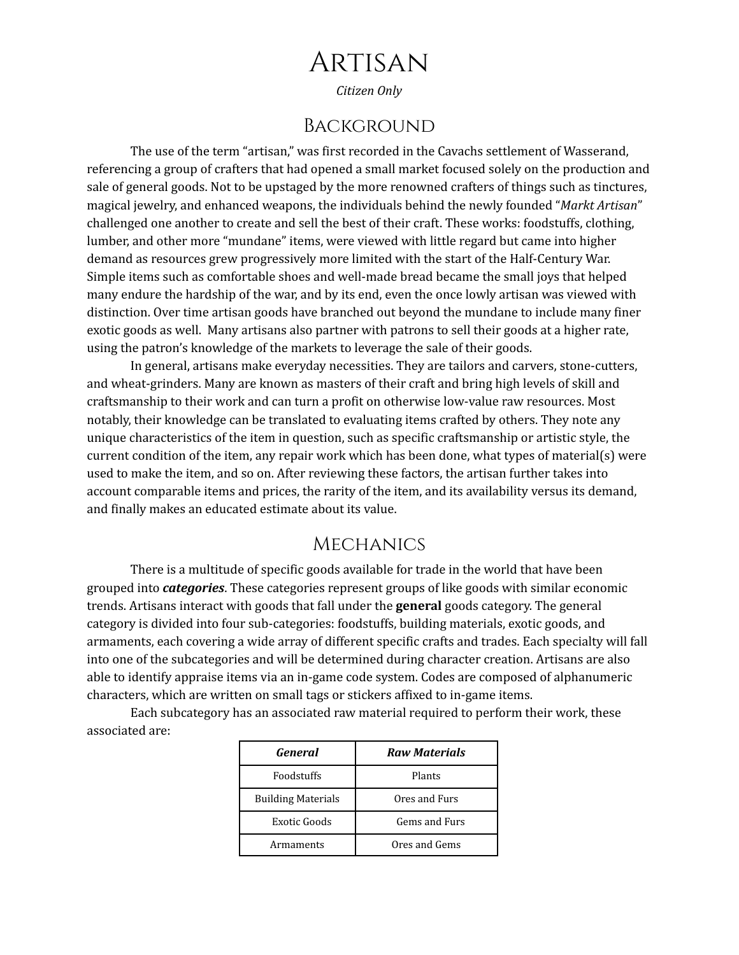# Artisan

*Citizen Only*

### Background

The use of the term "artisan," was first recorded in the Cavachs settlement of Wasserand, referencing a group of crafters that had opened a small market focused solely on the production and sale of general goods. Not to be upstaged by the more renowned crafters of things such as tinctures, magical jewelry, and enhanced weapons, the individuals behind the newly founded "*Markt Artisan*" challenged one another to create and sell the best of their craft. These works: foodstuffs, clothing, lumber, and other more "mundane" items, were viewed with little regard but came into higher demand as resources grew progressively more limited with the start of the Half-Century War. Simple items such as comfortable shoes and well-made bread became the small joys that helped many endure the hardship of the war, and by its end, even the once lowly artisan was viewed with distinction. Over time artisan goods have branched out beyond the mundane to include many finer exotic goods as well. Many artisans also partner with patrons to sell their goods at a higher rate, using the patron's knowledge of the markets to leverage the sale of their goods.

In general, artisans make everyday necessities. They are tailors and carvers, stone-cutters, and wheat-grinders. Many are known as masters of their craft and bring high levels of skill and craftsmanship to their work and can turn a profit on otherwise low-value raw resources. Most notably, their knowledge can be translated to evaluating items crafted by others. They note any unique characteristics of the item in question, such as specific craftsmanship or artistic style, the current condition of the item, any repair work which has been done, what types of material(s) were used to make the item, and so on. After reviewing these factors, the artisan further takes into account comparable items and prices, the rarity of the item, and its availability versus its demand, and finally makes an educated estimate about its value.

#### **MECHANICS**

There is a multitude of specific goods available for trade in the world that have been grouped into *categories*. These categories represent groups of like goods with similar economic trends. Artisans interact with goods that fall under the **general** goods category. The general category is divided into four sub-categories: foodstuffs, building materials, exotic goods, and armaments, each covering a wide array of different specific crafts and trades. Each specialty will fall into one of the subcategories and will be determined during character creation. Artisans are also able to identify appraise items via an in-game code system. Codes are composed of alphanumeric characters, which are written on small tags or stickers affixed to in-game items.

Each subcategory has an associated raw material required to perform their work, these associated are:

| General                   | <b>Raw Materials</b> |  |
|---------------------------|----------------------|--|
| Foodstuffs                | Plants               |  |
| <b>Building Materials</b> | Ores and Furs        |  |
| Exotic Goods              | Gems and Furs        |  |
| Armaments                 | Ores and Gems        |  |